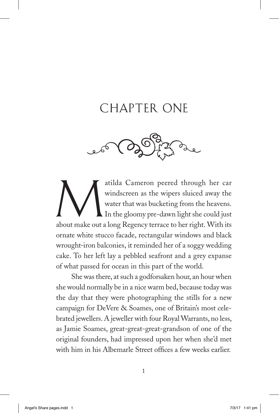## CHAPTER ONE



atilda Cameron peered through her car windscreen as the wipers sluiced away the water that was bucketing from the heavens.<br>In the gloomy pre-dawn light she could just about make out a long Regency terrace to her right. Wit windscreen as the wipers sluiced away the water that was bucketing from the heavens. In the gloomy pre-dawn light she could just about make out a long Regency terrace to her right. With its ornate white stucco facade, rectangular windows and black wrought-iron balconies, it reminded her of a soggy wedding cake. To her left lay a pebbled seafront and a grey expanse of what passed for ocean in this part of the world.

She was there, at such a godforsaken hour, an hour when she would normally be in a nice warm bed, because today was the day that they were photographing the stills for a new campaign for DeVere & Soames, one of Britain's most celebrated jewellers. A jeweller with four Royal Warrants, no less, as Jamie Soames, great-great-great-grandson of one of the original founders, had impressed upon her when she'd met with him in his Albemarle Street offices a few weeks earlier.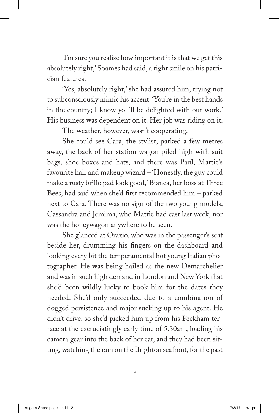'I'm sure you realise how important it is that we get this absolutely right,' Soames had said, a tight smile on his patrician features.

'Yes, absolutely right,' she had assured him, trying not to subconsciously mimic his accent. 'You're in the best hands in the country; I know you'll be delighted with our work.' His business was dependent on it. Her job was riding on it.

The weather, however, wasn't cooperating.

She could see Cara, the stylist, parked a few metres away, the back of her station wagon piled high with suit bags, shoe boxes and hats, and there was Paul, Mattie's favourite hair and makeup wizard – 'Honestly, the guy could make a rusty brillo pad look good,' Bianca, her boss at Three Bees, had said when she'd first recommended him – parked next to Cara. There was no sign of the two young models, Cassandra and Jemima, who Mattie had cast last week, nor was the honeywagon anywhere to be seen.

She glanced at Orazio, who was in the passenger's seat beside her, drumming his fingers on the dashboard and looking every bit the temperamental hot young Italian photographer. He was being hailed as the new Demarchelier and was in such high demand in London and New York that she'd been wildly lucky to book him for the dates they needed. She'd only succeeded due to a combination of dogged persistence and major sucking up to his agent. He didn't drive, so she'd picked him up from his Peckham terrace at the excruciatingly early time of 5.30am, loading his camera gear into the back of her car, and they had been sitting, watching the rain on the Brighton seafront, for the past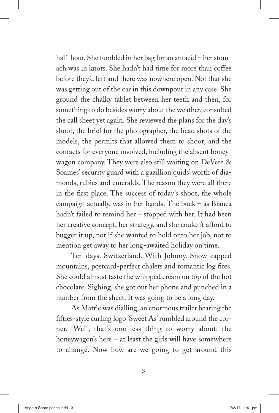half-hour. She fumbled in her bag for an antacid – her stomach was in knots. She hadn't had time for more than coffee before they'd left and there was nowhere open. Not that she was getting out of the car in this downpour in any case. She ground the chalky tablet between her teeth and then, for something to do besides worry about the weather, consulted the call sheet yet again. She reviewed the plans for the day's shoot, the brief for the photographer, the head shots of the models, the permits that allowed them to shoot, and the contacts for everyone involved, including the absent honeywagon company. They were also still waiting on DeVere  $\&$ Soames' security guard with a gazillion quids' worth of diamonds, rubies and emeralds. The reason they were all there in the first place. The success of today's shoot, the whole campaign actually, was in her hands. The buck – as Bianca hadn't failed to remind her – stopped with her. It had been her creative concept, her strategy, and she couldn't afford to bugger it up, not if she wanted to hold onto her job, not to mention get away to her long-awaited holiday on time.

Ten days. Switzerland. With Johnny. Snow-capped mountains, postcard-perfect chalets and romantic log fires. She could almost taste the whipped cream on top of the hot chocolate. Sighing, she got out her phone and punched in a number from the sheet. It was going to be a long day.

As Mattie was dialling, an enormous trailer bearing the fifties-style curling logo 'Sweet As' rumbled around the corner. 'Well, that's one less thing to worry about: the honeywagon's here  $-$  at least the girls will have somewhere to change. Now how are we going to get around this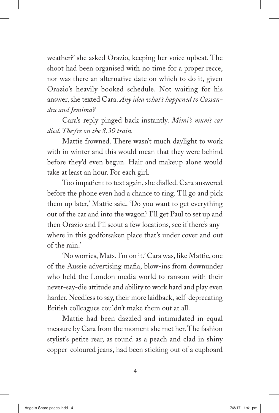weather?' she asked Orazio, keeping her voice upbeat. The shoot had been organised with no time for a proper recce, nor was there an alternative date on which to do it, given Orazio's heavily booked schedule. Not waiting for his answer, she texted Cara. *Any idea what's happened to Cassandra and Jemima?*

Cara's reply pinged back instantly. *Mimi's mum's car died. They're on the 8.30 train.*

Mattie frowned. There wasn't much daylight to work with in winter and this would mean that they were behind before they'd even begun. Hair and makeup alone would take at least an hour. For each girl.

Too impatient to text again, she dialled. Cara answered before the phone even had a chance to ring. 'I'll go and pick them up later,' Mattie said. 'Do you want to get everything out of the car and into the wagon? I'll get Paul to set up and then Orazio and I'll scout a few locations, see if there's anywhere in this godforsaken place that's under cover and out of the rain.'

'No worries, Mats. I'm on it.' Cara was, like Mattie, one of the Aussie advertising mafia, blow-ins from downunder who held the London media world to ransom with their never-say-die attitude and ability to work hard and play even harder. Needless to say, their more laidback, self-deprecating British colleagues couldn't make them out at all.

Mattie had been dazzled and intimidated in equal measure by Cara from the moment she met her. The fashion stylist's petite rear, as round as a peach and clad in shiny copper-coloured jeans, had been sticking out of a cupboard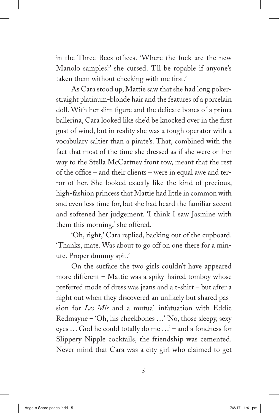in the Three Bees offices. 'Where the fuck are the new Manolo samples?' she cursed. 'I'll be ropable if anyone's taken them without checking with me first.'

As Cara stood up, Mattie saw that she had long pokerstraight platinum-blonde hair and the features of a porcelain doll. With her slim figure and the delicate bones of a prima ballerina, Cara looked like she'd be knocked over in the first gust of wind, but in reality she was a tough operator with a vocabulary saltier than a pirate's. That, combined with the fact that most of the time she dressed as if she were on her way to the Stella McCartney front row, meant that the rest of the office – and their clients – were in equal awe and terror of her. She looked exactly like the kind of precious, high-fashion princess that Mattie had little in common with and even less time for, but she had heard the familiar accent and softened her judgement. 'I think I saw Jasmine with them this morning,' she offered.

'Oh, right,' Cara replied, backing out of the cupboard. 'Thanks, mate. Was about to go off on one there for a minute. Proper dummy spit.'

On the surface the two girls couldn't have appeared more different – Mattie was a spiky-haired tomboy whose preferred mode of dress was jeans and a t-shirt – but after a night out when they discovered an unlikely but shared passion for *Les Mis* and a mutual infatuation with Eddie Redmayne – 'Oh, his cheekbones ...' 'No, those sleepy, sexy eyes ... God he could totally do me ...' – and a fondness for Slippery Nipple cocktails, the friendship was cemented. Never mind that Cara was a city girl who claimed to get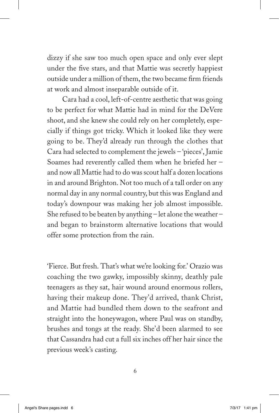dizzy if she saw too much open space and only ever slept under the five stars, and that Mattie was secretly happiest outside under a million of them, the two became firm friends at work and almost inseparable outside of it.

Cara had a cool, left-of-centre aesthetic that was going to be perfect for what Mattie had in mind for the DeVere shoot, and she knew she could rely on her completely, especially if things got tricky. Which it looked like they were going to be. They'd already run through the clothes that Cara had selected to complement the jewels – 'pieces', Jamie Soames had reverently called them when he briefed her – and now all Mattie had to do was scout half a dozen locations in and around Brighton. Not too much of a tall order on any normal day in any normal country, but this was England and today's downpour was making her job almost impossible. She refused to be beaten by anything – let alone the weather – and began to brainstorm alternative locations that would offer some protection from the rain.

'Fierce. But fresh. That's what we're looking for.' Orazio was coaching the two gawky, impossibly skinny, deathly pale teenagers as they sat, hair wound around enormous rollers, having their makeup done. They'd arrived, thank Christ, and Mattie had bundled them down to the seafront and straight into the honeywagon, where Paul was on standby, brushes and tongs at the ready. She'd been alarmed to see that Cassandra had cut a full six inches off her hair since the previous week's casting.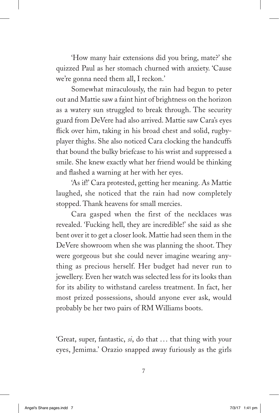'How many hair extensions did you bring, mate?' she quizzed Paul as her stomach churned with anxiety. 'Cause we're gonna need them all, I reckon.'

Somewhat miraculously, the rain had begun to peter out and Mattie saw a faint hint of brightness on the horizon as a watery sun struggled to break through. The security guard from DeVere had also arrived. Mattie saw Cara's eyes flick over him, taking in his broad chest and solid, rugbyplayer thighs. She also noticed Cara clocking the handcuffs that bound the bulky briefcase to his wrist and suppressed a smile. She knew exactly what her friend would be thinking and flashed a warning at her with her eyes.

'As if!' Cara protested, getting her meaning. As Mattie laughed, she noticed that the rain had now completely stopped. Thank heavens for small mercies.

Cara gasped when the first of the necklaces was revealed. 'Fucking hell, they are incredible!' she said as she bent over it to get a closer look. Mattie had seen them in the DeVere showroom when she was planning the shoot. They were gorgeous but she could never imagine wearing anything as precious herself. Her budget had never run to jewellery. Even her watch was selected less for its looks than for its ability to withstand careless treatment. In fact, her most prized possessions, should anyone ever ask, would probably be her two pairs of RM Williams boots.

'Great, super, fantastic, *si*, do that ... that thing with your eyes, Jemima.' Orazio snapped away furiously as the girls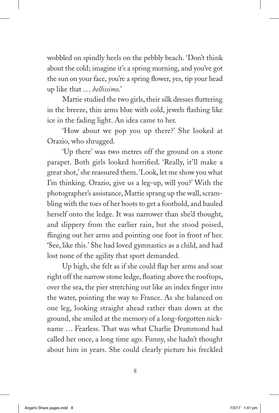wobbled on spindly heels on the pebbly beach. 'Don't think about the cold; imagine it's a spring morning, and you've got the sun on your face, you're a spring flower, yes, tip your head up like that ... *bellissimo*.'

Mattie studied the two girls, their silk dresses fluttering in the breeze, thin arms blue with cold, jewels flashing like ice in the fading light. An idea came to her.

'How about we pop you up there?' She looked at Orazio, who shrugged.

'Up there' was two metres off the ground on a stone parapet. Both girls looked horrified. 'Really, it'll make a great shot,' she reassured them. 'Look, let me show you what I'm thinking. Orazio, give us a leg-up, will you?' With the photographer's assistance, Mattie sprang up the wall, scrambling with the toes of her boots to get a foothold, and hauled herself onto the ledge. It was narrower than she'd thought, and slippery from the earlier rain, but she stood poised, flinging out her arms and pointing one foot in front of her. 'See, like this.' She had loved gymnastics as a child, and had lost none of the agility that sport demanded.

Up high, she felt as if she could flap her arms and soar right off the narrow stone ledge, floating above the rooftops, over the sea, the pier stretching out like an index finger into the water, pointing the way to France. As she balanced on one leg, looking straight ahead rather than down at the ground, she smiled at the memory of a long-forgotten nickname ... Fearless. That was what Charlie Drummond had called her once, a long time ago. Funny, she hadn't thought about him in years. She could clearly picture his freckled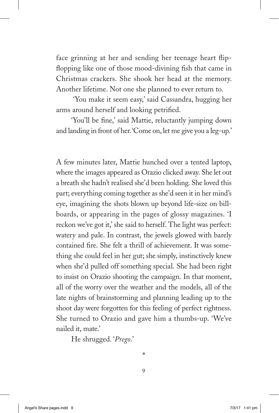face grinning at her and sending her teenage heart flipflopping like one of those mood-divining fish that came in Christmas crackers. She shook her head at the memory. Another lifetime. Not one she planned to ever return to.

 'You make it seem easy,' said Cassandra, hugging her arms around herself and looking petrified.

'You'll be fine,' said Mattie, reluctantly jumping down and landing in front of her. 'Come on, let me give you a leg-up.'

A few minutes later, Mattie hunched over a tented laptop, where the images appeared as Orazio clicked away. She let out a breath she hadn't realised she'd been holding. She loved this part; everything coming together as she'd seen it in her mind's eye, imagining the shots blown up beyond life-size on billboards, or appearing in the pages of glossy magazines. 'I reckon we've got it,' she said to herself. The light was perfect: watery and pale. In contrast, the jewels glowed with barely contained fire. She felt a thrill of achievement. It was something she could feel in her gut; she simply, instinctively knew when she'd pulled off something special. She had been right to insist on Orazio shooting the campaign. In that moment, all of the worry over the weather and the models, all of the late nights of brainstorming and planning leading up to the shoot day were forgotten for this feeling of perfect rightness. She turned to Orazio and gave him a thumbs-up. 'We've nailed it, mate.'

He shrugged. '*Prego*.'

9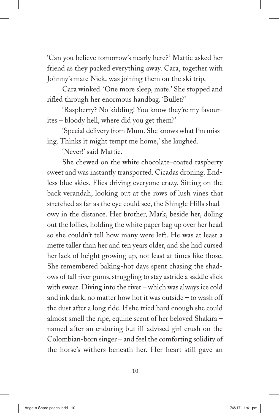'Can you believe tomorrow's nearly here?' Mattie asked her friend as they packed everything away. Cara, together with Johnny's mate Nick, was joining them on the ski trip.

Cara winked. 'One more sleep, mate.' She stopped and rifled through her enormous handbag. 'Bullet?'

'Raspberry? No kidding! You know they're my favourites – bloody hell, where did you get them?'

'Special delivery from Mum. She knows what I'm missing. Thinks it might tempt me home,' she laughed.

'Never!' said Mattie.

She chewed on the white chocolate–coated raspberry sweet and was instantly transported. Cicadas droning. Endless blue skies. Flies driving everyone crazy. Sitting on the back verandah, looking out at the rows of lush vines that stretched as far as the eye could see, the Shingle Hills shadowy in the distance. Her brother, Mark, beside her, doling out the lollies, holding the white paper bag up over her head so she couldn't tell how many were left. He was at least a metre taller than her and ten years older, and she had cursed her lack of height growing up, not least at times like those. She remembered baking-hot days spent chasing the shadows of tall river gums, struggling to stay astride a saddle slick with sweat. Diving into the river – which was always ice cold and ink dark, no matter how hot it was outside – to wash off the dust after a long ride. If she tried hard enough she could almost smell the ripe, equine scent of her beloved Shakira – named after an enduring but ill-advised girl crush on the Colombian-born singer – and feel the comforting solidity of the horse's withers beneath her. Her heart still gave an